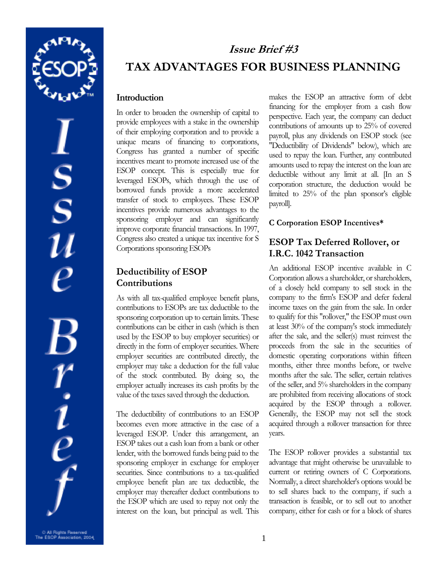

 $S_S$  $\frac{r}{\rho}$ 

# In order to broaden the ownership of capital to provide employees with a stake in the ownership

**Issue Brief #3** 

**TAX ADVANTAGES FOR BUSINESS PLANNING** 

of their employing corporation and to provide a unique means of financing to corporations, Congress has granted a number of specific incentives meant to promote increased use of the ESOP concept. This is especially true for leveraged ESOPs, which through the use of borrowed funds provide a more accelerated transfer of stock to employees. These ESOP incentives provide numerous advantages to the sponsoring employer and can significantly improve corporate financial transactions. In 1997, Congress also created a unique tax incentive for S Corporations sponsoring ESOPs

### **Deductibility of ESOP Contributions**

**Introduction**

As with all tax-qualified employee benefit plans, contributions to ESOPs are tax deductible to the sponsoring corporation up to certain limits. These contributions can be either in cash (which is then used by the ESOP to buy employer securities) or directly in the form of employer securities. Where employer securities are contributed directly, the employer may take a deduction for the full value of the stock contributed. By doing so, the employer actually increases its cash profits by the value of the taxes saved through the deduction.

The deductibility of contributions to an ESOP becomes even more attractive in the case of a leveraged ESOP. Under this arrangement, an ESOP takes out a cash loan from a bank or other lender, with the borrowed funds being paid to the sponsoring employer in exchange for employer securities. Since contributions to a tax-qualified employee benefit plan are tax deductible, the employer may thereafter deduct contributions to the ESOP which are used to repay not only the interest on the loan, but principal as well. This

makes the ESOP an attractive form of debt financing for the employer from a cash flow perspective. Each year, the company can deduct contributions of amounts up to 25% of covered payroll, plus any dividends on ESOP stock (see "Deductibility of Dividends" below), which are used to repay the loan. Further, any contributed amounts used to repay the interest on the loan are deductible without any limit at all. [In an S corporation structure, the deduction would be limited to 25% of the plan sponsor's eligible payroll].

#### **C Corporation ESOP Incentives\***

## **ESOP Tax Deferred Rollover, or I.R.C. 1042 Transaction**

An additional ESOP incentive available in C Corporation allows a shareholder, or shareholders, of a closely held company to sell stock in the company to the firm's ESOP and defer federal income taxes on the gain from the sale. In order to qualify for this "rollover," the ESOP must own at least 30% of the company's stock immediately after the sale, and the seller(s) must reinvest the proceeds from the sale in the securities of domestic operating corporations within fifteen months, either three months before, or twelve months after the sale. The seller, certain relatives of the seller, and 5% shareholders in the company are prohibited from receiving allocations of stock acquired by the ESOP through a rollover. Generally, the ESOP may not sell the stock acquired through a rollover transaction for three years.

The ESOP rollover provides a substantial tax advantage that might otherwise be unavailable to current or retiring owners of C Corporations. Normally, a direct shareholder's options would be to sell shares back to the company, if such a transaction is feasible, or to sell out to another company, either for cash or for a block of shares